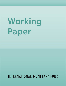# Working **Paper**

# **INTERNATIONAL MONETARY FUND**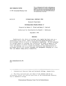## **IMF WORKING PAPER**

© 1991 International Monetary Fund

This is a working paper and the author would welcome any comments on the present text. Citations should refer to an unpublished manuscript, mentioning the author and the date ot issuance by the International Monetary Fund. The views expressed arc those of the author and do not necessarily represent those of the Fund.

#### WP/91/90 INTERNATIONAL MONETARY FUND

# Research Department

# Exchange Rate Regime Choice *\/*

Prepared by Robert P. Flood and Nancy P. Marion\*

Authorized for Distribution by Donald J. Mathieson

September 1991

## Abstract

Traditionally the choice of exchange rate regime has been seen as a second-best policy choice, which can be directed toward mitigating the distortionary effects of price or information rigidities. In this paradigm the optimal degree of exchange rate flexibility is found to depend of the source and nature of shocks hitting an economy. More recent literature views the exchange rate as a widely and frequently seen manifestation of government policy with careful exchange-rate management emerging as a tool that can enhance shaky policy credibility.

JEL Classification No. F33

\* International Monetary Fund and Dartmouth College, respectively.

 $1/$  The views expressed here are those of the authors and do not necessarily reflect the official positions of the International Monetary Fund or Dartmouth College.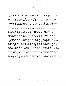#### Summary

This essay considers normative aspects of policy choices for *a* country acting unilaterally, operating a unified exchange market free from non-market rationing in which the long- term output growth rate is exogenous. For the. single developed country, exchange rate regime choice is thought to depend on policy goals, the nature of the stochastic environment, the country's structural characteristics, and the credibility of policymakers. In addition to facing these issues, the country finds that choices are complicated by balance of payments constraint and the need to protect external competitiveness .

Traditionally the choice of an exchange rate regime has been seen as a second-best policy choice, which can mitigate the distortionary effects of price or information rigidities. In this paradigm, optimal exchange rate flexibility depends on the source and nature of shocks hitting an economy. More recent literature views the exchange rate as a widely and frequently observed manifestation of government policy. Careful exchange rate manage ment emerges as a buttress for shaky policy credibility.

There is little consensus about the choice of an appropriate exchange rate regime, perhaps because conclusions about which exchange rate regime best achieves a particular policy objective in a particular stochastic environment: with a particular credibility structure are specific to the model employed. Recent empirical work on the determinants of flexible exchange rates, on the effects of exchange rate changes, and on the initiation and propagation of business cycles reveals how little is known about the empirical side of openeconomy macroeconomics. While the empirical foundation for advice on exchange ral:e regime choice Is lamentably weak, the analysis suggests not overestimating the importance of the behavior of the exchange rate for macroeconomic performance. For example, it was thought that a fluctuating exchange rate would protect a country from external disturbances but possibly at a cost of reducing the flow of trade and weakening the discipline against inflation. Early hopes and concerns now seem misplaced. Flexible rates have provided little insulation, but. at the same time exchange rate flexibility seems unrelated to trade flows and inflation performance in developed countries.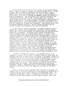Countries face wide variety of policy choices in the foreign exchange market. Among the options, a country can peg its exchange rate to a single currency, peg to a basket of currencies, let the rate crawl, conduct a managed float, break the exchange market into dual or multiple markets or float freely. The variety of exchange arrangements matches the diversity in country circumstances. Over 60 percent of all countries surveyed by the International Monetary Fund in 1990, including many small countries, operated some form of peg, while 13 percent, including the United States and Japan, floated freely. The Federal Republic of Germany and Exchange Rate Mechanism partners in the European Monetary System were classified as being part of a cooperative exchange rate arrangement. Some monetary areas, such as Belgium-Luxembourg and Brazil, operate multiple exchanges with the relevant exchange rate depending on the type of transaction.

In this essay we limit our discussion to normative aspects of policy choices for a country acting unilaterally, operating a unified exchange market that is free from non-market rationing in which the long-term output growth rate is exogenous. We thereby ignore recently developed multicountry strategic aspects of exchange-market policy; we ignore a large literature dealing with segmented and rationed exchange markets; we do not touch on attempts at a positive explanation of the evolution of countries' exchange-rate policies and we do not explore the possible interactions of the choice of exchange-rate regime with endogenous growth rates. Even with such a limited scope, the literature is deep and wide-ranging with no consensus about the optimal regime for the individual country or for the world as a whole. For the single developed country, exchange-rate regime choice is thought to depend on policy goals, the nature of the stochastic environment, on a country's structural characteristics, and on the credibility of policymakers (Argy, 1990). The single developing country faces all of the above issues and, in addition, finds that choices are complicated by the presence of the balance of payments constraint and the need to protect external competitiveness (Aghevli, Khan and Montiel, 1991).

In order for exchange-rate policy, or any monetary policy, to be important, in theory, for the level of economic activity or many other real variables some kind of market failure is required. For example, markets for information may fail to exist because information dissemination is costly as in the information-based business cycle models or prices (wages) may be costly to change as in the wage-indexing work of Gray (1976). In such circumstances the first-best policy would be to eliminate whatever market failures plague the economy. Such sweeping reform may be practically impossible, however. Appropriate policy in the foreign exchange market is therefore a second-best policy that depends on the nature of the market failure.

There is broad theoretical agreement that the choice of exchange rate regime is not of first-order importance for the medium-term average level of variables like per capita output relative to full-employment output. The regime may be important, however, in helping to control inflation or in helping to control higher moments of other target variables, such as the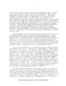variance of per capita output relative to full-employment output. Control of such higher moments may be important to policy makers simply because minimizing variance is thought to be socially beneficial. Thinking of exchange-rate regime choice as an appropriate tool ir helping to avoid inflation typically requires a failure of policy credibility while approaching such a choice as a help in output stabilization is usually based on the presence of some sort of nominal stickiness. We will first explore some issues concerning output stabilization in a crecible policy environment returning later to inflation stabilization in a less than fully credible conditions. Choosing the exchange-rate regime that minimizes fluctuations in output around its full-employment level, a policy that is usually defended as being shorthand for minimizing the labor-market distortions associated with wage stickiness, depends on the shock propagation mechanisms relevant to the country and the type of disturbances affecting the economy (Marston, 1935) .

The early debate on fixed versus flexible exchange rates was formalized in Friedman's (1953) support for flexible exchange rates and was built around an Implicit sticky-price model of output determination. Friedman emphasized the insulating properties of market-determined exchange rates in the face of foreign nominal shocks. Changes in the foreign price level would generate offsetting exchange rate changes protecting the value of the domestic currency and thereby protecting domestic output from fluctuations in foreign demand. The message was that if foreign nominal shocks are most important, flexible exchange rates best insulate domestic output.

The early literature went on to demonstrate that when domestic shocks are important, the choice of exchange-rate regime depends on whether these shocks are monetary or real. When domestic shocks originate in the domestic money market, conventional theory indicates that a fixed exchange rate is more effective in stabilizing output:. A disturbance to domestic money demand or supply would be countered by offsetting changes In international reserves under a fixed exchange rate and would not spill over to the goods market. If domestic disturbances Instead originate in the goods market, a flexible exchange rate would achieve greater output stability. Shocks to domestic demand would generate offsetting changes in foreign demand via an adjustment in the exchange rate, thus moderating the impact of the domestic shock on output (Mundell,  $1962$ ). In general, since the economy is likely to be faced with both nominal and real shocks originating at home and abroad, the exchange-rate regime that best stabilizes domestic output will be characterized by some intermediate degree of flexibility .

The structural characteristics of an economy, such as its openness to international trade, its integration into world financial markets, and its degree of wage indexation may also Influence the stabilizing properties of the exchange rate regime. The degree of openness per se does not lead to an unambiguous ranking of exchange-rate regimes. It has been argued that if an economy is very open, as measured by a large fraction of traded goods in total output, a flexible exchange rate, especially if it is volatile, may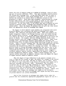reduce the role of domestic money as a medium of exchange, store of value and unit of account (McKinnon, 1963). Very open economies would be better off fixing their exchange rate. It has also been shown that in order to eliminate a trade deficit under fixed exchange rates, it is necessary to deflate the economy by an amount which is inversely related to the propensity to import. Hence more open economies, characterized by a large foreign trade sector, may find it less costly in terms of lost output to restore external balance using demand management than exchange-rate flexibility. On the other hand, to the extent that open economies are more exposed to external shocks, exchange-rate flexibility might provide the needed buffer. Hence the degree of openness does not give any clear answer about the appropriate choice of exchange-rate regime.

The degree to which domestic asset markets are integrated with world financial markets also influences the choice of exchange-rate regime (Mundell, 1962, Mathieson and Rojas-Suarez 1990). When asset markets are highly integrated, domestic and foreign interest rates are linked through the interest parity relation. A high degree of asset substitutability in turn affects the choice of exchange-rate regime depending on the source and nature of shocks. For example, positive foreign monetary shocks lower foreign interest rates and trigger a domestic capital inflow. Under fixed exchange rates, international reserves would expand and reinforce the destabilizing effect of higher foreign demand operating through the current account. Under a flexible exchange rate, the rate would appreciate and help stabilize domestic output. In contrast, a flexible exchange rate might exacerbate the destabilizing effect of a foreign real shock. For example, a positive shock to foreign government expenditures that spills over to the domestic goods market may also raise foreign interest rates. With highly integrated asset markets, the rise in foreign interest rates triggers a incipient domestic capital outflow, depreciates the domestic currency and further destabilizes domestic output. Under a fixed exchange rate, the capital outflow would push up domestic interest rates and dampen the impact of higher external demand on domestic output.

When the degree of wage indexation to the general consumer price level is high and the economy is open, the effect of a change in the nominal exchange rate on the real wage, and thus on output, will be small. Hence the effects of wage indexation on the choice of exchange-rate regime can be important (Aizenman and Frenkel, 1985). Furthermore, the literature recognizes that the degree of wage indexation is itself dependent on the choice of exchange-rate regime (Flood and Marion, 1982). Hence structural characteristics that are generally taken as exogenous may, in fact, be endogenous with respect to the choice of exchange-rate regime. Indeed, with a government that changes the exchange rate regime as the stochastic environment evolves the choice of exchange rate regime and many broad aspect of private behavior are jointly determined.

Much of the literature on exchange rate regime choice takes for granted that the economically appropriate geographical region for use of a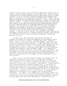single currency coincides with the political region that typically uses one currency. Mundell (1961) suggested, on an abstract level, that for output stabilization, the optimum currency area over which there would be a single currency or a set of currencies joined by immutably fixed exchange rates need not correspond to the boundaries of the nation state. Rather, the area might be one where there was high factor mobility. In fact, there have been important examples of countries giving up monetary autonomy for economic and political reasons. A group of European countries who share relatively high factor mobility and trade flows have joined the European Monetary System, giving up important aspects of independent monetary policy by adopting a joint peg. The Bretton Woods System, while not initially satisfying Mundell's factor mobility criterion for an optimal currency area, also illustrates that economic and political considerations can persuade countries to give up some monetary autonomy by pegging to a dominant currency. It should be noted, however, that while both cases illustrate the willingness of some countries to sacrifice monetary autonomy, they also show the reluctance to give up long-run monetary sovereignty by abandoning national currencies.

In recent years, the theoretical literature on the choice of exchange-rate regime has relaxed the assumption that the domestic policymaker's actions are fully credible. Exchange rate policy, therefore, becomes a highly visible manifestation of policymakers' intentions, which can be used to enhance shaky credibility. In this literature all of the previous structural and stochastic factors retain their importance but the exchange regime becomes, in addition, a signaling device through which policymakers can convince a skeptical private sector of policy intentions (Giavazzi and Giovannini, 1988 and Fischer, 1988). It is through this mechanism that exchange rate policy can influence long-run inflation. If a policymaker can achieve increased credibility through exchange rate policy, the private sector may become convinced of policy intentions thereby lessening an inflation bias, which might exist when stated policy is not fully credible.

There is little consensus among policymakers or economists about the appropriate exchange rate regime choice. Perhaps this is because conclusions about which exchange-rate regime best achieves a particular policy objective in a particular stochastic environment with a particular credibility structure are, unsurprisingly, model specific. Recent empirical work on the determinants of flexible exchange rates, on the effects of exchange rate changes and on the initiation and propagation of business cycles reveals how little is known about the empirical side of open-economy macroeconomics. While our empirical foundation for advice on exchange rate regime choice is lamentably weak we have learned not to overestimate the importance of the behavior of the exchange rate for macroeconomic performance. For example, it was thought that a fluctuating exchange rate would protect a country from external disturbances but possibly at a cost of reducing the flow of trade and weakening the discipline against Inflation. The early hopes and concerns now seem misplaced. Flexible rates have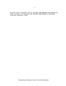provided little insulation, but at the same time exchange rate flexibility seems unrelated to trade flows and inflation performance in developed countries (Goldstein, 1984).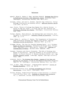## References

- Aghevli, Bijan B., Moshin S. Khan, and Peter Montiel, Exchange Rate Policy in Developing Countries: Some Analytical Issues, Occasional Paper, (Washington, International Monetary Fund, March 1991).
- Aizenman, Joshua, and Jacob A. Frenkel, "Optimal Wage Indexation, Foreign Exchange Intervention and Monetary Policy," American Economic Review, (June 1985), pp.402-23.
- Argy, Victor, "Choice of Exchange Rate Regime for a Smaller Economy: A Survey of Some Key Issues," in Victor Argy and Paul DeGrauwe eds., Choosing an Exchange Rate Regime. (Washington, International Monetary Fund, 1990).
- Fischer, Stanley, "Real Balances, the Exchange Rate and Indexation: Real Variables in Disinflation", Quarterly Journal of Economics, (February 1988), pp. 27-49.
- Flood, Robert P., and Nancy P. Marion, "The Transmission of Disturbances Under Alternative Exchange Rate Regimes with Optimal Indexing," Quarterly Journal of Economics, (February 1982), pp.43-66.
- Friedman, Milton, "The Case for Flexible Exchange Rates", in M. Friedman, Essays in Positive Economics. (University of Chicago Press, Chicago, 1953), Reprinted in R.E. Caves and H.G. Johnson eds., Readings in International Economics. (Richard Irwin, Homewood, 1968).
- Giavazzi, Francesco and Alberto Giovannini, "The Role of Exchange Rate Regime in Disinflation: Empirical Evidence on the European Monetary System," in Franco Giavazzi, S. Micossi and Marcus Miller, eds., The European Monetary System. (Cambridge, England, Cambridge University Press, 1988).
- Goldstein, Morris, The Exchange Rate System: Lessons of the Past and Options for the Future, A study by the Research Department Occasional Paper No. 30, (Washington, International Monetary Fund, July 1984).
- Gray, Jo Anna, "Wage Indexation: A Macroeconomic Approach," Journal of Monetary Economics. (1976) , pp. 221-35..
- International Monetary Fund, Exchange Arrangements and Exchange Restrictions, Annual Report, (Washington, 1990).
- Marston, Richard, "Stabilization Policies in Open Economies," In Ronald Jones and Peter Kenen, eds., Handbook of International Economics, Vol. 2, (Amsterdam, Holland, North-Holland Press, 1985).